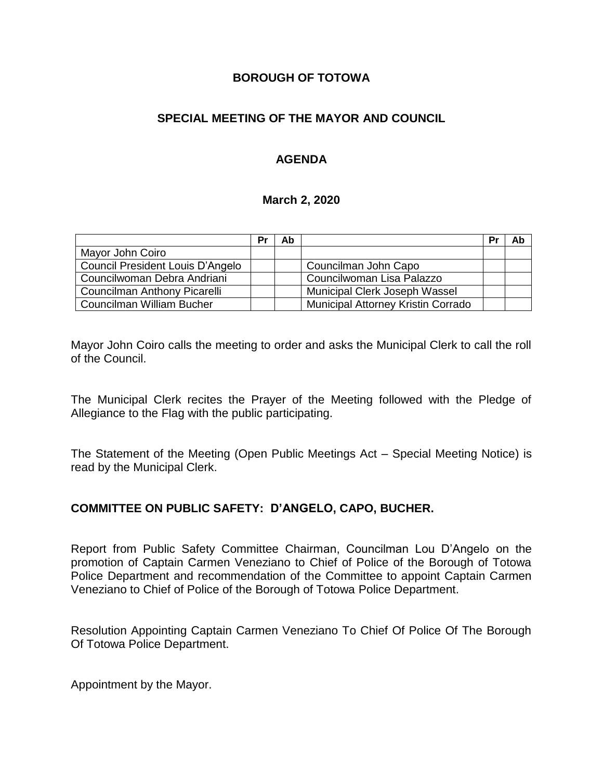### **BOROUGH OF TOTOWA**

# **SPECIAL MEETING OF THE MAYOR AND COUNCIL**

## **AGENDA**

#### **March 2, 2020**

|                                  | Pr | Ab |                                    | Pr | Ab |
|----------------------------------|----|----|------------------------------------|----|----|
| Mayor John Coiro                 |    |    |                                    |    |    |
| Council President Louis D'Angelo |    |    | Councilman John Capo               |    |    |
| Councilwoman Debra Andriani      |    |    | Councilwoman Lisa Palazzo          |    |    |
| Councilman Anthony Picarelli     |    |    | Municipal Clerk Joseph Wassel      |    |    |
| Councilman William Bucher        |    |    | Municipal Attorney Kristin Corrado |    |    |

Mayor John Coiro calls the meeting to order and asks the Municipal Clerk to call the roll of the Council.

The Municipal Clerk recites the Prayer of the Meeting followed with the Pledge of Allegiance to the Flag with the public participating.

The Statement of the Meeting (Open Public Meetings Act – Special Meeting Notice) is read by the Municipal Clerk.

#### **COMMITTEE ON PUBLIC SAFETY: D'ANGELO, CAPO, BUCHER.**

Report from Public Safety Committee Chairman, Councilman Lou D'Angelo on the promotion of Captain Carmen Veneziano to Chief of Police of the Borough of Totowa Police Department and recommendation of the Committee to appoint Captain Carmen Veneziano to Chief of Police of the Borough of Totowa Police Department.

Resolution Appointing Captain Carmen Veneziano To Chief Of Police Of The Borough Of Totowa Police Department.

Appointment by the Mayor.